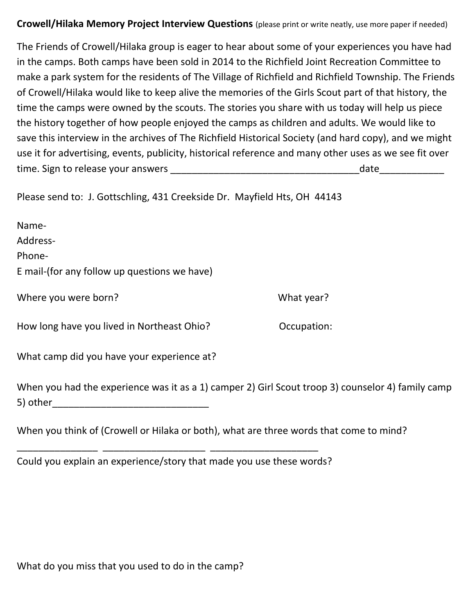## **Crowell/Hilaka Memory Project Interview Questions** (please print or write neatly, use more paper if needed)

The Friends of Crowell/Hilaka group is eager to hear about some of your experiences you have had in the camps. Both camps have been sold in 2014 to the Richfield Joint Recreation Committee to make a park system for the residents of The Village of Richfield and Richfield Township. The Friends of Crowell/Hilaka would like to keep alive the memories of the Girls Scout part of that history, the time the camps were owned by the scouts. The stories you share with us today will help us piece the history together of how people enjoyed the camps as children and adults. We would like to save this interview in the archives of The Richfield Historical Society (and hard copy), and we might use it for advertising, events, publicity, historical reference and many other uses as we see fit over time. Sign to release your answers \_\_\_\_\_\_\_\_\_\_\_\_\_\_\_\_\_\_\_\_\_\_\_\_\_\_\_\_\_\_\_\_\_\_\_date\_\_\_\_\_\_\_\_\_\_\_\_

Please send to: J. Gottschling, 431 Creekside Dr. Mayfield Hts, OH 44143

| Name-                                        |
|----------------------------------------------|
| Address-                                     |
| Phone-                                       |
| E mail-(for any follow up questions we have) |
| Where you were born?                         |

How long have you lived in Northeast Ohio? Occupation:

What camp did you have your experience at?

When you had the experience was it as a 1) camper 2) Girl Scout troop 3) counselor 4) family camp 5) other\_\_\_\_\_\_\_\_\_\_\_\_\_\_\_\_\_\_\_\_\_\_\_\_\_\_\_\_\_

What year?

When you think of (Crowell or Hilaka or both), what are three words that come to mind?

Could you explain an experience/story that made you use these words?

\_\_\_\_\_\_\_\_\_\_\_\_\_\_\_ \_\_\_\_\_\_\_\_\_\_\_\_\_\_\_\_\_\_\_ \_\_\_\_\_\_\_\_\_\_\_\_\_\_\_\_\_\_\_\_

What do you miss that you used to do in the camp?